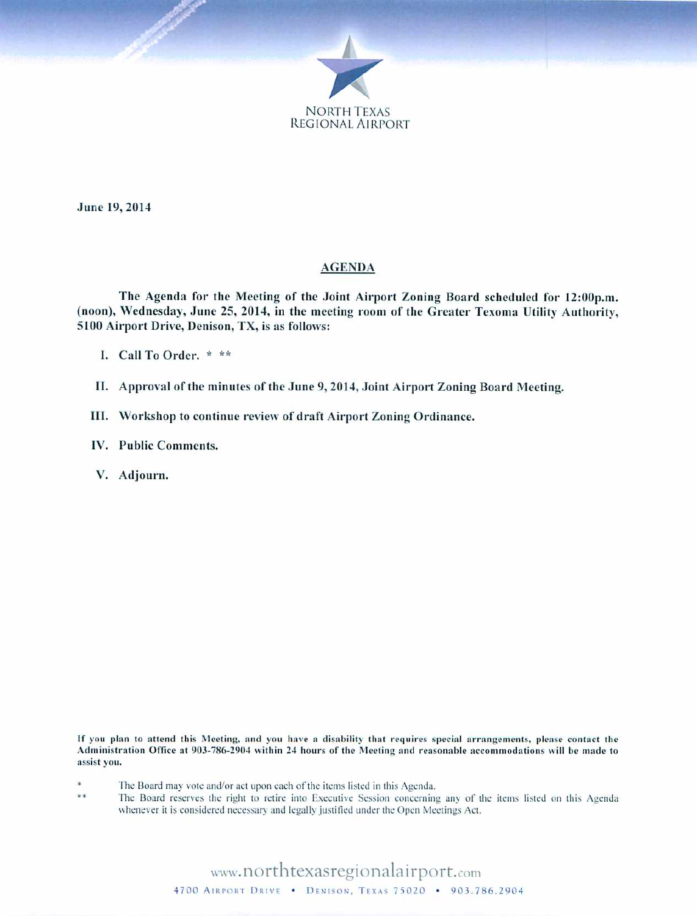

June 19, 2014

#### **AGENDA**

The Agenda for the Meeting of the Joint Airport Zoning Board scheduled for 12:00p.m. (noon), Wednesday, June 25, 2014, in the meeting room of the Greater Texoma Utility Authority, 5100 Airport Drive, Denison, TX, is as follows:

I. Call To Order. \* \*\*

II. Approval of the minutes of the June 9, 2014, Joint Airport Zoning Board Meeting.

III. Workshop to continue review of draft Airport Zoning Ordinance.

IV. Public Comments.

V. Adjourn.

If you plan to attend this Meeting, and you have a disability that requires special arrangements, please contact the Administration Office at 903-786-2904 within 24 hours of the Meeting and reasonable accommodations will be made to assist you.

- The Board may vote and/or act upon each of the items listed in this Agenda.
- \*\* The Board reserves the right to retire into Executive Session concerning any of the items listed on this Agenda whenever it is considered necessary and legally justified under the Open Meetings Act.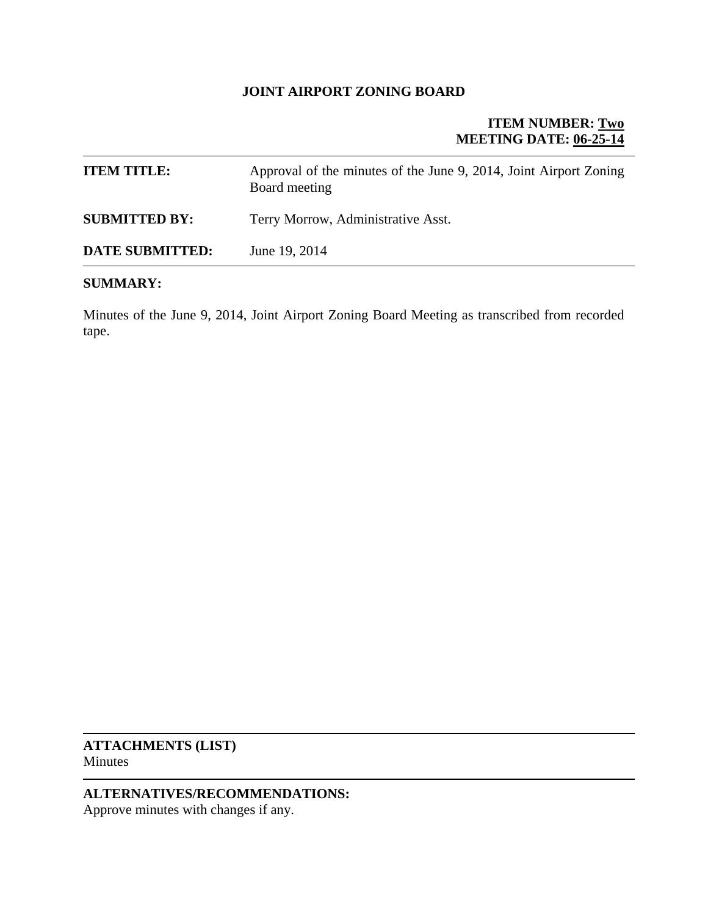#### **JOINT AIRPORT ZONING BOARD**

## **ITEM NUMBER: Two MEETING DATE: 06-25-14**

| <b>ITEM TITLE:</b>     | Approval of the minutes of the June 9, 2014, Joint Airport Zoning<br>Board meeting |
|------------------------|------------------------------------------------------------------------------------|
| <b>SUBMITTED BY:</b>   | Terry Morrow, Administrative Asst.                                                 |
| <b>DATE SUBMITTED:</b> | June 19, 2014                                                                      |

#### **SUMMARY:**

Minutes of the June 9, 2014, Joint Airport Zoning Board Meeting as transcribed from recorded tape.

**ATTACHMENTS (LIST)**  Minutes

## **ALTERNATIVES/RECOMMENDATIONS:**

Approve minutes with changes if any.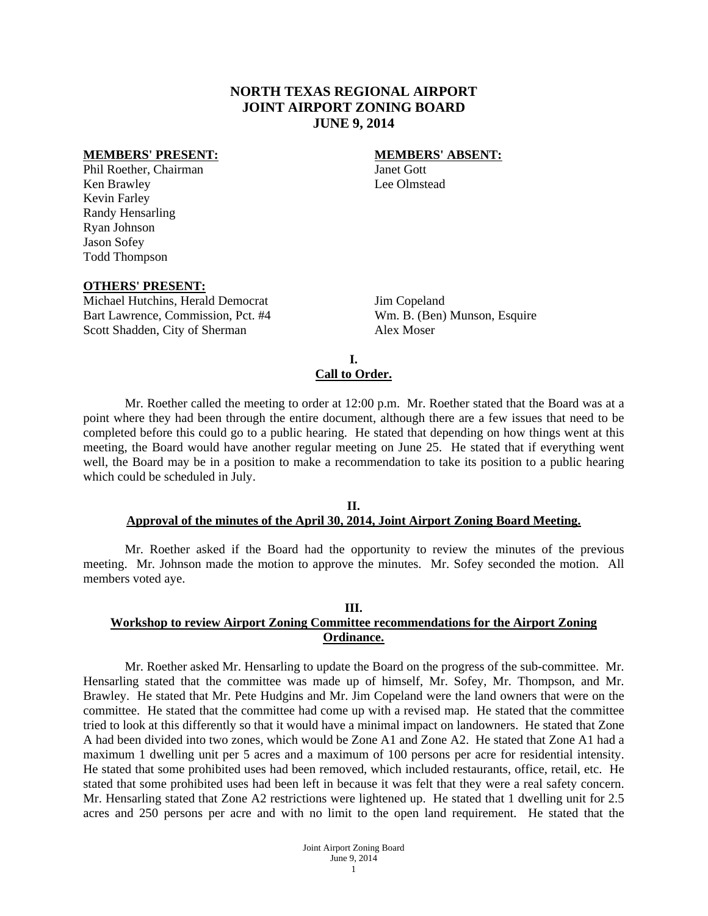#### **NORTH TEXAS REGIONAL AIRPORT JOINT AIRPORT ZONING BOARD JUNE 9, 2014**

#### **MEMBERS' PRESENT:** MEMBERS' ABSENT:

Phil Roether, Chairman Janet Gott Ken Brawley Lee Olmstead Kevin Farley Randy Hensarling Ryan Johnson Jason Sofey Todd Thompson

#### **OTHERS' PRESENT:**

Michael Hutchins, Herald Democrat Jim Copeland Bart Lawrence, Commission, Pct. #4 Wm. B. (Ben) Munson, Esquire Scott Shadden, City of Sherman Alex Moser

#### **I. Call to Order.**

 Mr. Roether called the meeting to order at 12:00 p.m. Mr. Roether stated that the Board was at a point where they had been through the entire document, although there are a few issues that need to be completed before this could go to a public hearing. He stated that depending on how things went at this meeting, the Board would have another regular meeting on June 25. He stated that if everything went well, the Board may be in a position to make a recommendation to take its position to a public hearing which could be scheduled in July.

#### **II. Approval of the minutes of the April 30, 2014, Joint Airport Zoning Board Meeting.**

 Mr. Roether asked if the Board had the opportunity to review the minutes of the previous meeting. Mr. Johnson made the motion to approve the minutes. Mr. Sofey seconded the motion. All members voted aye.

## **III.**

#### **Workshop to review Airport Zoning Committee recommendations for the Airport Zoning Ordinance.**

 Mr. Roether asked Mr. Hensarling to update the Board on the progress of the sub-committee. Mr. Hensarling stated that the committee was made up of himself, Mr. Sofey, Mr. Thompson, and Mr. Brawley. He stated that Mr. Pete Hudgins and Mr. Jim Copeland were the land owners that were on the committee. He stated that the committee had come up with a revised map. He stated that the committee tried to look at this differently so that it would have a minimal impact on landowners. He stated that Zone A had been divided into two zones, which would be Zone A1 and Zone A2. He stated that Zone A1 had a maximum 1 dwelling unit per 5 acres and a maximum of 100 persons per acre for residential intensity. He stated that some prohibited uses had been removed, which included restaurants, office, retail, etc. He stated that some prohibited uses had been left in because it was felt that they were a real safety concern. Mr. Hensarling stated that Zone A2 restrictions were lightened up. He stated that 1 dwelling unit for 2.5 acres and 250 persons per acre and with no limit to the open land requirement. He stated that the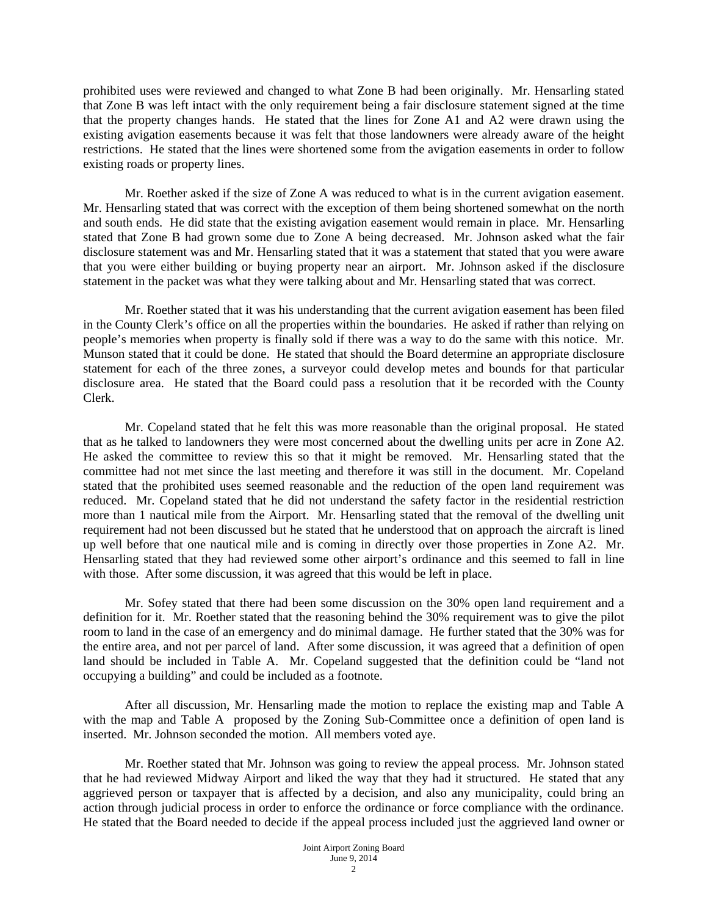prohibited uses were reviewed and changed to what Zone B had been originally. Mr. Hensarling stated that Zone B was left intact with the only requirement being a fair disclosure statement signed at the time that the property changes hands. He stated that the lines for Zone A1 and A2 were drawn using the existing avigation easements because it was felt that those landowners were already aware of the height restrictions. He stated that the lines were shortened some from the avigation easements in order to follow existing roads or property lines.

 Mr. Roether asked if the size of Zone A was reduced to what is in the current avigation easement. Mr. Hensarling stated that was correct with the exception of them being shortened somewhat on the north and south ends. He did state that the existing avigation easement would remain in place. Mr. Hensarling stated that Zone B had grown some due to Zone A being decreased. Mr. Johnson asked what the fair disclosure statement was and Mr. Hensarling stated that it was a statement that stated that you were aware that you were either building or buying property near an airport. Mr. Johnson asked if the disclosure statement in the packet was what they were talking about and Mr. Hensarling stated that was correct.

 Mr. Roether stated that it was his understanding that the current avigation easement has been filed in the County Clerk's office on all the properties within the boundaries. He asked if rather than relying on people's memories when property is finally sold if there was a way to do the same with this notice. Mr. Munson stated that it could be done. He stated that should the Board determine an appropriate disclosure statement for each of the three zones, a surveyor could develop metes and bounds for that particular disclosure area. He stated that the Board could pass a resolution that it be recorded with the County Clerk.

 Mr. Copeland stated that he felt this was more reasonable than the original proposal. He stated that as he talked to landowners they were most concerned about the dwelling units per acre in Zone A2. He asked the committee to review this so that it might be removed. Mr. Hensarling stated that the committee had not met since the last meeting and therefore it was still in the document. Mr. Copeland stated that the prohibited uses seemed reasonable and the reduction of the open land requirement was reduced. Mr. Copeland stated that he did not understand the safety factor in the residential restriction more than 1 nautical mile from the Airport. Mr. Hensarling stated that the removal of the dwelling unit requirement had not been discussed but he stated that he understood that on approach the aircraft is lined up well before that one nautical mile and is coming in directly over those properties in Zone A2. Mr. Hensarling stated that they had reviewed some other airport's ordinance and this seemed to fall in line with those. After some discussion, it was agreed that this would be left in place.

Mr. Sofey stated that there had been some discussion on the 30% open land requirement and a definition for it. Mr. Roether stated that the reasoning behind the 30% requirement was to give the pilot room to land in the case of an emergency and do minimal damage. He further stated that the 30% was for the entire area, and not per parcel of land. After some discussion, it was agreed that a definition of open land should be included in Table A. Mr. Copeland suggested that the definition could be "land not occupying a building" and could be included as a footnote.

After all discussion, Mr. Hensarling made the motion to replace the existing map and Table A with the map and Table A proposed by the Zoning Sub-Committee once a definition of open land is inserted. Mr. Johnson seconded the motion. All members voted aye.

Mr. Roether stated that Mr. Johnson was going to review the appeal process. Mr. Johnson stated that he had reviewed Midway Airport and liked the way that they had it structured. He stated that any aggrieved person or taxpayer that is affected by a decision, and also any municipality, could bring an action through judicial process in order to enforce the ordinance or force compliance with the ordinance. He stated that the Board needed to decide if the appeal process included just the aggrieved land owner or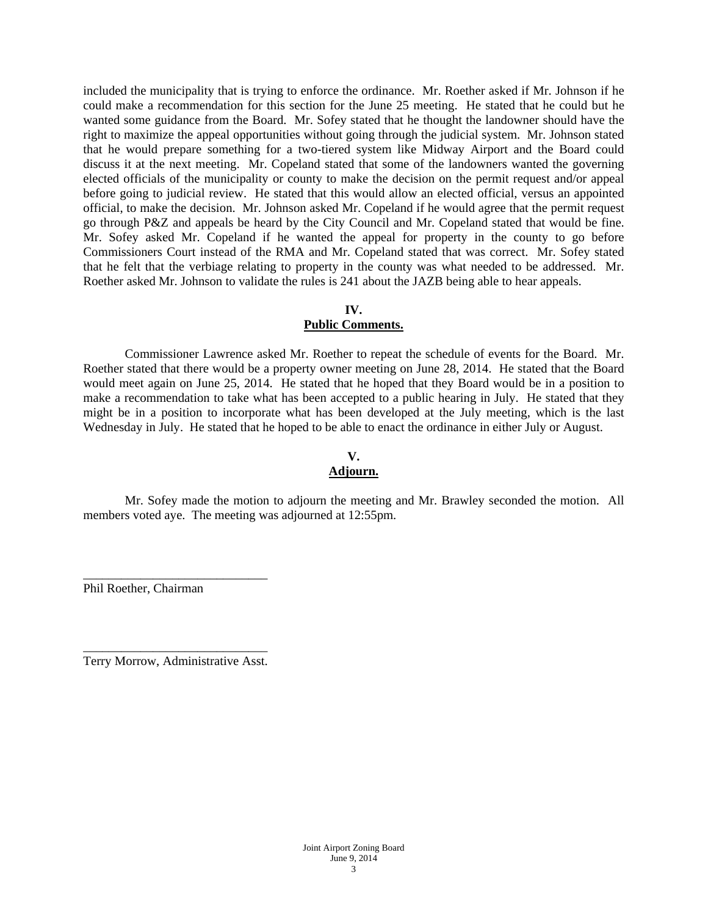included the municipality that is trying to enforce the ordinance. Mr. Roether asked if Mr. Johnson if he could make a recommendation for this section for the June 25 meeting. He stated that he could but he wanted some guidance from the Board. Mr. Sofey stated that he thought the landowner should have the right to maximize the appeal opportunities without going through the judicial system. Mr. Johnson stated that he would prepare something for a two-tiered system like Midway Airport and the Board could discuss it at the next meeting. Mr. Copeland stated that some of the landowners wanted the governing elected officials of the municipality or county to make the decision on the permit request and/or appeal before going to judicial review. He stated that this would allow an elected official, versus an appointed official, to make the decision. Mr. Johnson asked Mr. Copeland if he would agree that the permit request go through P&Z and appeals be heard by the City Council and Mr. Copeland stated that would be fine. Mr. Sofey asked Mr. Copeland if he wanted the appeal for property in the county to go before Commissioners Court instead of the RMA and Mr. Copeland stated that was correct. Mr. Sofey stated that he felt that the verbiage relating to property in the county was what needed to be addressed. Mr. Roether asked Mr. Johnson to validate the rules is 241 about the JAZB being able to hear appeals.

#### **IV.**

#### **Public Comments.**

 Commissioner Lawrence asked Mr. Roether to repeat the schedule of events for the Board. Mr. Roether stated that there would be a property owner meeting on June 28, 2014. He stated that the Board would meet again on June 25, 2014. He stated that he hoped that they Board would be in a position to make a recommendation to take what has been accepted to a public hearing in July. He stated that they might be in a position to incorporate what has been developed at the July meeting, which is the last Wednesday in July. He stated that he hoped to be able to enact the ordinance in either July or August.

#### **V. Adjourn.**

 Mr. Sofey made the motion to adjourn the meeting and Mr. Brawley seconded the motion. All members voted aye. The meeting was adjourned at 12:55pm.

Phil Roether, Chairman

\_\_\_\_\_\_\_\_\_\_\_\_\_\_\_\_\_\_\_\_\_\_\_\_\_\_\_\_\_ Terry Morrow, Administrative Asst.

\_\_\_\_\_\_\_\_\_\_\_\_\_\_\_\_\_\_\_\_\_\_\_\_\_\_\_\_\_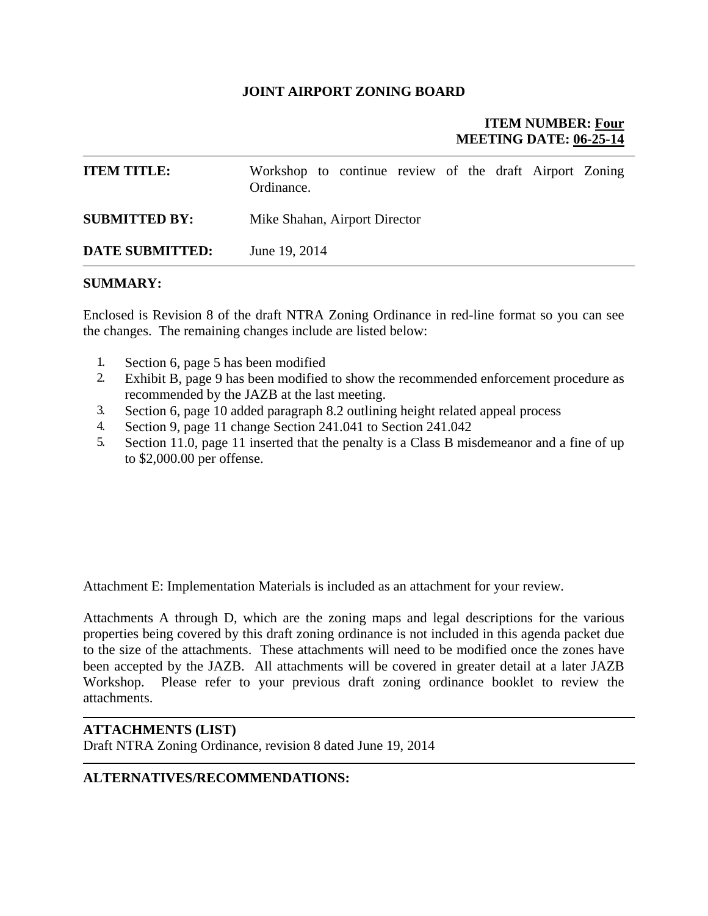#### **JOINT AIRPORT ZONING BOARD**

## **ITEM NUMBER: Four MEETING DATE: 06-25-14**

| <b>ITEM TITLE:</b>     | Workshop to continue review of the draft Airport Zoning<br>Ordinance. |  |  |  |  |
|------------------------|-----------------------------------------------------------------------|--|--|--|--|
| <b>SUBMITTED BY:</b>   | Mike Shahan, Airport Director                                         |  |  |  |  |
| <b>DATE SUBMITTED:</b> | June 19, 2014                                                         |  |  |  |  |

#### **SUMMARY:**

Enclosed is Revision 8 of the draft NTRA Zoning Ordinance in red-line format so you can see the changes. The remaining changes include are listed below:

- 1. Section 6, page 5 has been modified
- 2. Exhibit B, page 9 has been modified to show the recommended enforcement procedure as recommended by the JAZB at the last meeting.
- 3. Section 6, page 10 added paragraph 8.2 outlining height related appeal process
- 4. Section 9, page 11 change Section 241.041 to Section 241.042
- 5. Section 11.0, page 11 inserted that the penalty is a Class B misdemeanor and a fine of up to \$2,000.00 per offense.

Attachment E: Implementation Materials is included as an attachment for your review.

Attachments A through D, which are the zoning maps and legal descriptions for the various properties being covered by this draft zoning ordinance is not included in this agenda packet due to the size of the attachments. These attachments will need to be modified once the zones have been accepted by the JAZB. All attachments will be covered in greater detail at a later JAZB Workshop. Please refer to your previous draft zoning ordinance booklet to review the attachments.

#### **ATTACHMENTS (LIST)**

Draft NTRA Zoning Ordinance, revision 8 dated June 19, 2014

#### **ALTERNATIVES/RECOMMENDATIONS:**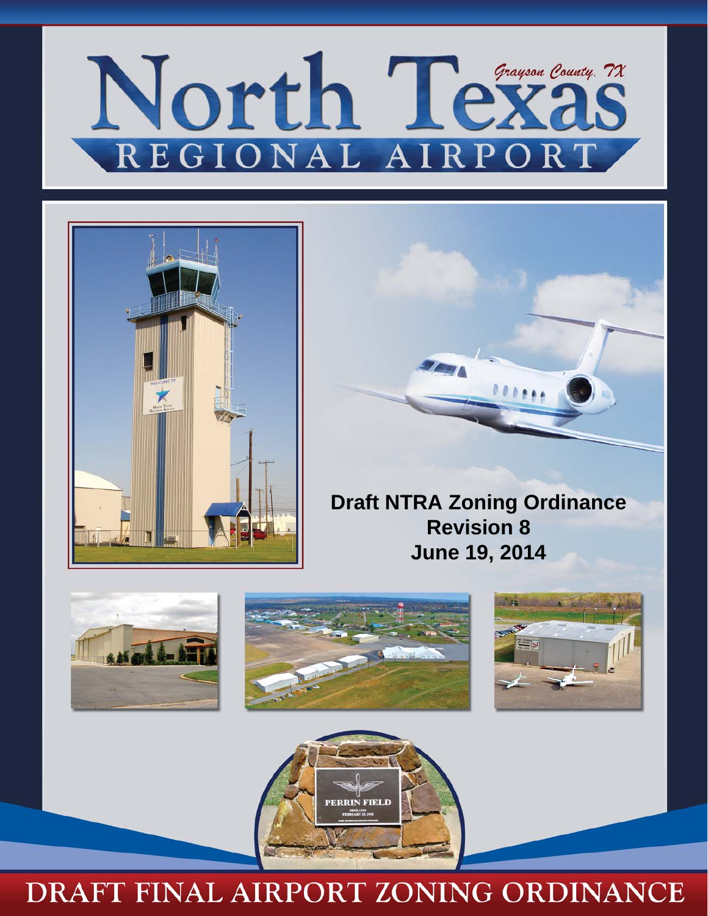# North Tex Grayson County, 7X REGIONAL AI RPOR





**Draft NTRA Zoning Ordinance Revision 8 June 19, 2014** 









## DRAFT FINAL AIRPORT ZONING ORDINANCE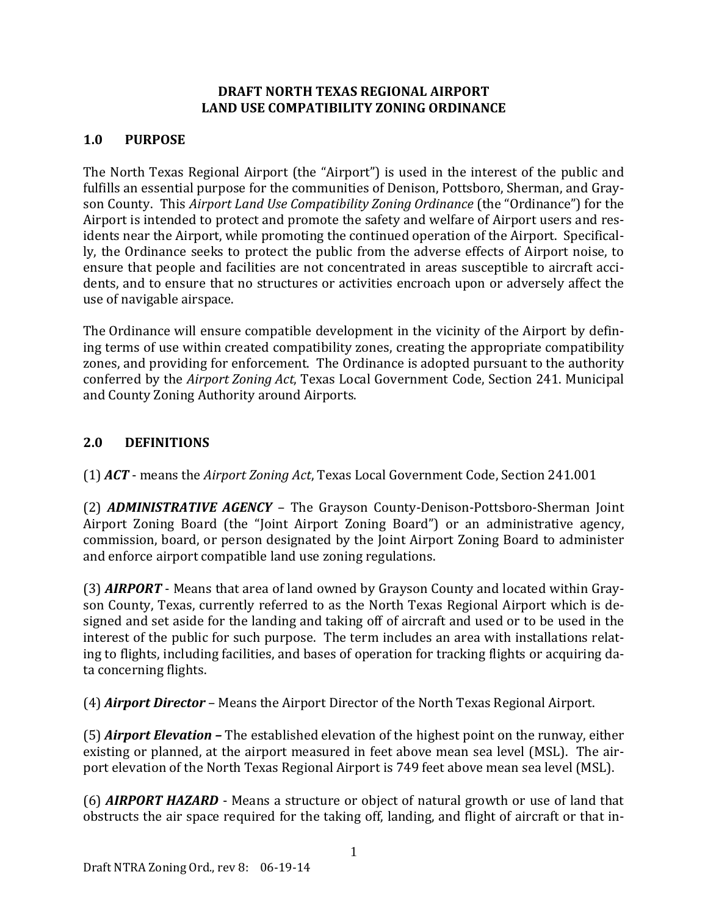## **DRAFT NORTH TEXAS REGIONAL AIRPORT LAND USE COMPATIBILITY ZONING ORDINANCE**

## **1.0 PURPOSE**

The North Texas Regional Airport (the "Airport") is used in the interest of the public and fulfills an essential purpose for the communities of Denison, Pottsboro, Sherman, and Grayson County. This *Airport Land Use Compatibility Zoning Ordinance* (the "Ordinance") for the Airport is intended to protect and promote the safety and welfare of Airport users and residents near the Airport, while promoting the continued operation of the Airport. Specifically, the Ordinance seeks to protect the public from the adverse effects of Airport noise, to ensure that people and facilities are not concentrated in areas susceptible to aircraft accidents, and to ensure that no structures or activities encroach upon or adversely affect the use of navigable airspace.

The Ordinance will ensure compatible development in the vicinity of the Airport by defining terms of use within created compatibility zones, creating the appropriate compatibility zones, and providing for enforcement. The Ordinance is adopted pursuant to the authority conferred by the *Airport Zoning Act*, Texas Local Government Code, Section 241. Municipal and County Zoning Authority around Airports.

## **2.0 DEFINITIONS**

(1) **ACT** - means the Airport Zoning Act, Texas Local Government Code, Section 241.001

(2) **ADMINISTRATIVE AGENCY** – The Grayson County-Denison-Pottsboro-Sherman Joint Airport Zoning Board (the "Joint Airport Zoning Board") or an administrative agency, commission, board, or person designated by the Joint Airport Zoning Board to administer and enforce airport compatible land use zoning regulations.

(3) *AIRPORT* - Means that area of land owned by Grayson County and located within Grayson County, Texas, currently referred to as the North Texas Regional Airport which is designed and set aside for the landing and taking off of aircraft and used or to be used in the interest of the public for such purpose. The term includes an area with installations relating to flights, including facilities, and bases of operation for tracking flights or acquiring data concerning flights.

(4) *Airport Director* – Means the Airport Director of the North Texas Regional Airport.

(5) *Airport Elevation* – The established elevation of the highest point on the runway, either existing or planned, at the airport measured in feet above mean sea level (MSL). The airport elevation of the North Texas Regional Airport is 749 feet above mean sea level (MSL).

(6) **AIRPORT HAZARD** - Means a structure or object of natural growth or use of land that obstructs the air space required for the taking off, landing, and flight of aircraft or that in-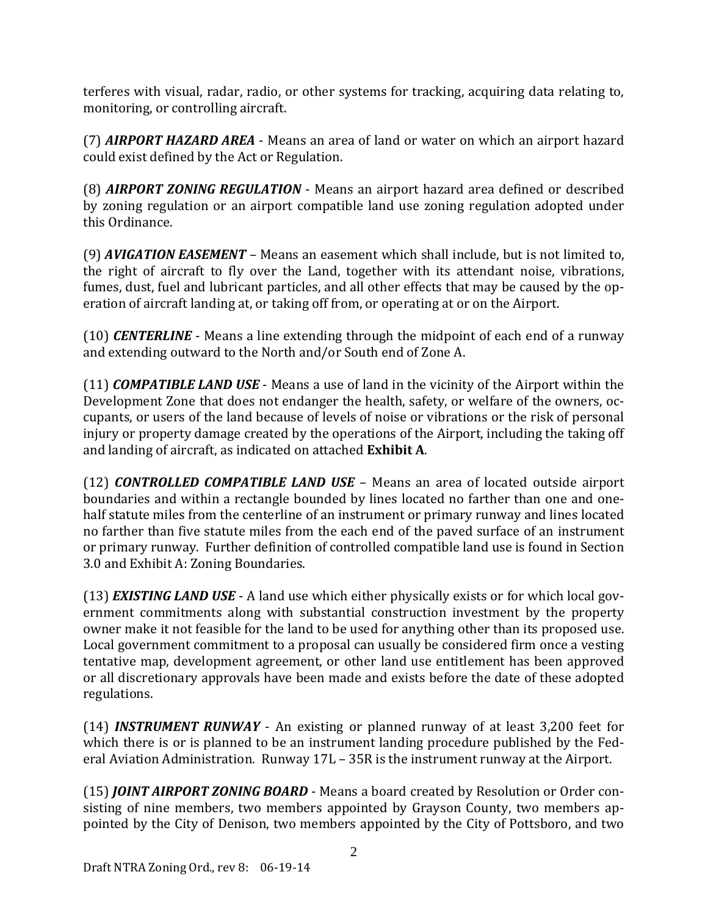terferes with visual, radar, radio, or other systems for tracking, acquiring data relating to, monitoring, or controlling aircraft.

(7) *AIRPORT HAZARD AREA* - Means an area of land or water on which an airport hazard could exist defined by the Act or Regulation.

(8) *AIRPORT ZONING REGULATION* - Means an airport hazard area defined or described by zoning regulation or an airport compatible land use zoning regulation adopted under this Ordinance.

(9) *AVIGATION EASEMENT* – Means an easement which shall include, but is not limited to, the right of aircraft to fly over the Land, together with its attendant noise, vibrations, fumes, dust, fuel and lubricant particles, and all other effects that may be caused by the operation of aircraft landing at, or taking off from, or operating at or on the Airport.

(10) *CENTERLINE* – Means a line extending through the midpoint of each end of a runway and extending outward to the North and/or South end of Zone A.

(11) *COMPATIBLE LAND USE* - Means a use of land in the vicinity of the Airport within the Development Zone that does not endanger the health, safety, or welfare of the owners, occupants, or users of the land because of levels of noise or vibrations or the risk of personal injury or property damage created by the operations of the Airport, including the taking off and landing of aircraft, as indicated on attached **Exhibit A**.

(12) *CONTROLLED COMPATIBLE LAND USE* – Means an area of located outside airport boundaries and within a rectangle bounded by lines located no farther than one and onehalf statute miles from the centerline of an instrument or primary runway and lines located no farther than five statute miles from the each end of the paved surface of an instrument or primary runway. Further definition of controlled compatible land use is found in Section 3.0 and Exhibit A: Zoning Boundaries.

(13) *EXISTING LAND USE* - A land use which either physically exists or for which local government commitments along with substantial construction investment by the property owner make it not feasible for the land to be used for anything other than its proposed use. Local government commitment to a proposal can usually be considered firm once a vesting tentative map, development agreement, or other land use entitlement has been approved or all discretionary approvals have been made and exists before the date of these adopted regulations. 

(14) **INSTRUMENT RUNWAY** - An existing or planned runway of at least 3,200 feet for which there is or is planned to be an instrument landing procedure published by the Federal Aviation Administration. Runway  $17L - 35R$  is the instrument runway at the Airport.

(15) *JOINT AIRPORT ZONING BOARD* - Means a board created by Resolution or Order consisting of nine members, two members appointed by Grayson County, two members appointed by the City of Denison, two members appointed by the City of Pottsboro, and two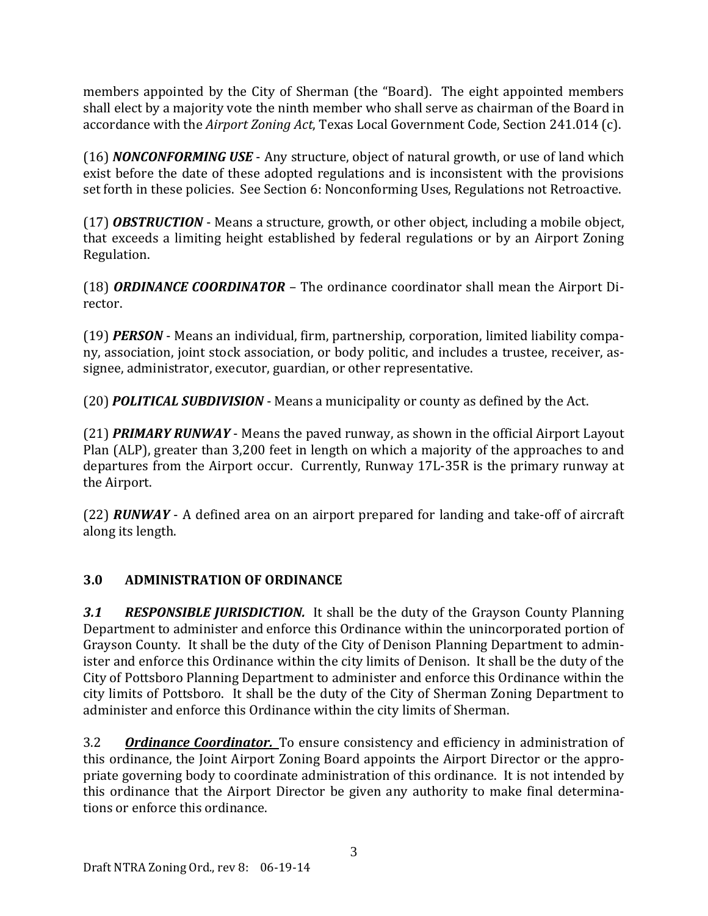members appointed by the City of Sherman (the "Board). The eight appointed members shall elect by a majority vote the ninth member who shall serve as chairman of the Board in accordance with the *Airport Zoning Act*, Texas Local Government Code, Section 241.014 (c).

(16) **NONCONFORMING USE** - Any structure, object of natural growth, or use of land which exist before the date of these adopted regulations and is inconsistent with the provisions set forth in these policies. See Section 6: Nonconforming Uses, Regulations not Retroactive.

(17) *OBSTRUCTION* - Means a structure, growth, or other object, including a mobile object, that exceeds a limiting height established by federal regulations or by an Airport Zoning Regulation. 

(18) **ORDINANCE COORDINATOR** – The ordinance coordinator shall mean the Airport Director. 

(19) **PERSON** - Means an individual, firm, partnership, corporation, limited liability company, association, joint stock association, or body politic, and includes a trustee, receiver, assignee, administrator, executor, guardian, or other representative.

(20) **POLITICAL SUBDIVISION** - Means a municipality or county as defined by the Act.

(21) **PRIMARY RUNWAY** - Means the paved runway, as shown in the official Airport Layout Plan (ALP), greater than 3,200 feet in length on which a majority of the approaches to and departures from the Airport occur. Currently, Runway 17L-35R is the primary runway at the Airport.

(22) **RUNWAY** - A defined area on an airport prepared for landing and take-off of aircraft along its length.

## **3.0 ADMINISTRATION OF ORDINANCE**

**3.1 RESPONSIBLE** *JURISDICTION*. It shall be the duty of the Grayson County Planning Department to administer and enforce this Ordinance within the unincorporated portion of Grayson County. It shall be the duty of the City of Denison Planning Department to administer and enforce this Ordinance within the city limits of Denison. It shall be the duty of the City of Pottsboro Planning Department to administer and enforce this Ordinance within the city limits of Pottsboro. It shall be the duty of the City of Sherman Zoning Department to administer and enforce this Ordinance within the city limits of Sherman.

3.2 **Ordinance Coordinator.** To ensure consistency and efficiency in administration of this ordinance, the Joint Airport Zoning Board appoints the Airport Director or the appropriate governing body to coordinate administration of this ordinance. It is not intended by this ordinance that the Airport Director be given any authority to make final determinations or enforce this ordinance.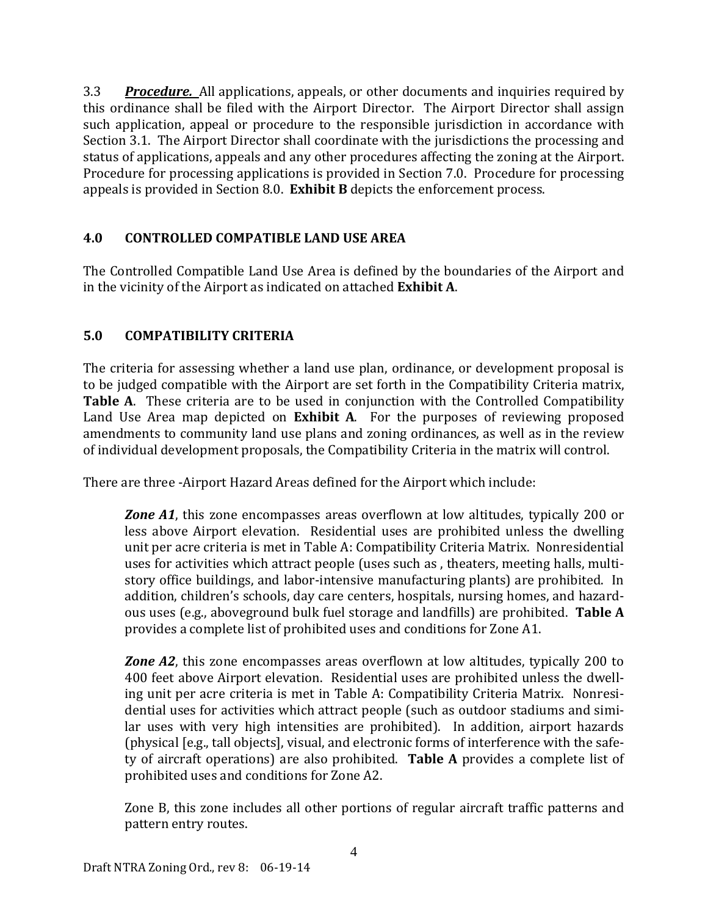3.3 *Procedure.* All applications, appeals, or other documents and inquiries required by this ordinance shall be filed with the Airport Director. The Airport Director shall assign such application, appeal or procedure to the responsible jurisdiction in accordance with Section 3.1. The Airport Director shall coordinate with the jurisdictions the processing and status of applications, appeals and any other procedures affecting the zoning at the Airport. Procedure for processing applications is provided in Section 7.0. Procedure for processing appeals is provided in Section 8.0. **Exhibit B** depicts the enforcement process.

## **4.0 CONTROLLED COMPATIBLE LAND USE AREA**

The Controlled Compatible Land Use Area is defined by the boundaries of the Airport and in the vicinity of the Airport as indicated on attached **Exhibit A**.

## **5.0 COMPATIBILITY CRITERIA**

The criteria for assessing whether a land use plan, ordinance, or development proposal is to be judged compatible with the Airport are set forth in the Compatibility Criteria matrix, **Table A.** These criteria are to be used in conjunction with the Controlled Compatibility Land Use Area map depicted on **Exhibit A**. For the purposes of reviewing proposed amendments to community land use plans and zoning ordinances, as well as in the review of individual development proposals, the Compatibility Criteria in the matrix will control.

There are three -Airport Hazard Areas defined for the Airport which include:

**Zone A1**, this zone encompasses areas overflown at low altitudes, typically 200 or less above Airport elevation. Residential uses are prohibited unless the dwelling unit per acre criteria is met in Table A: Compatibility Criteria Matrix. Nonresidential uses for activities which attract people (uses such as, theaters, meeting halls, multistory office buildings, and labor-intensive manufacturing plants) are prohibited. In addition, children's schools, day care centers, hospitals, nursing homes, and hazardous uses (e.g., aboveground bulk fuel storage and landfills) are prohibited. **Table A** provides a complete list of prohibited uses and conditions for Zone A1.

**Zone** A2, this zone encompasses areas overflown at low altitudes, typically 200 to 400 feet above Airport elevation. Residential uses are prohibited unless the dwelling unit per acre criteria is met in Table A: Compatibility Criteria Matrix. Nonresidential uses for activities which attract people (such as outdoor stadiums and similar uses with very high intensities are prohibited). In addition, airport hazards (physical [e.g., tall objects], visual, and electronic forms of interference with the safety of aircraft operations) are also prohibited. **Table A** provides a complete list of prohibited uses and conditions for Zone A2.

Zone B, this zone includes all other portions of regular aircraft traffic patterns and pattern entry routes.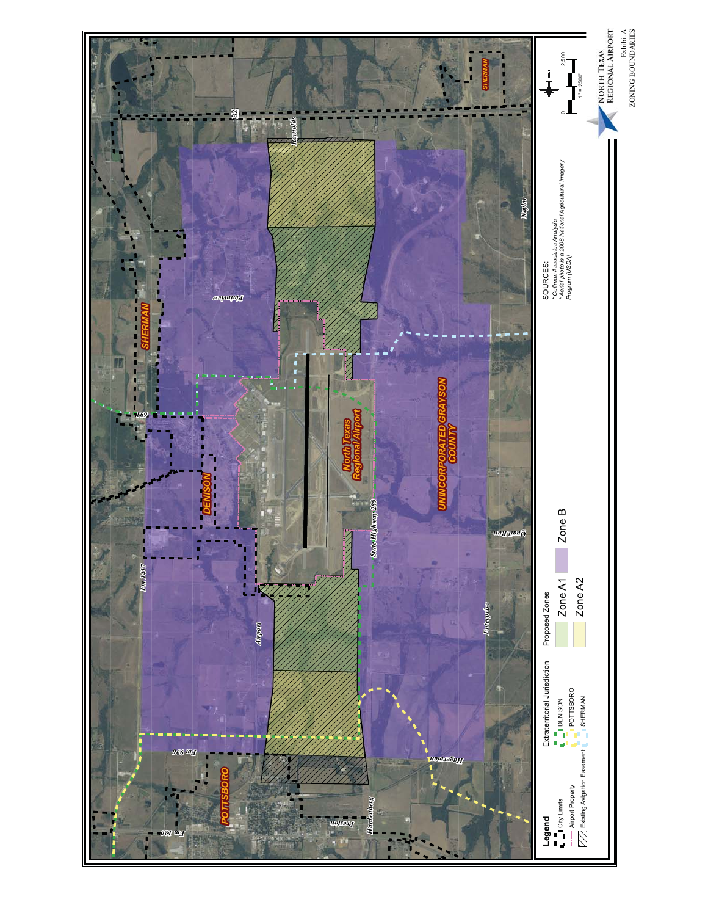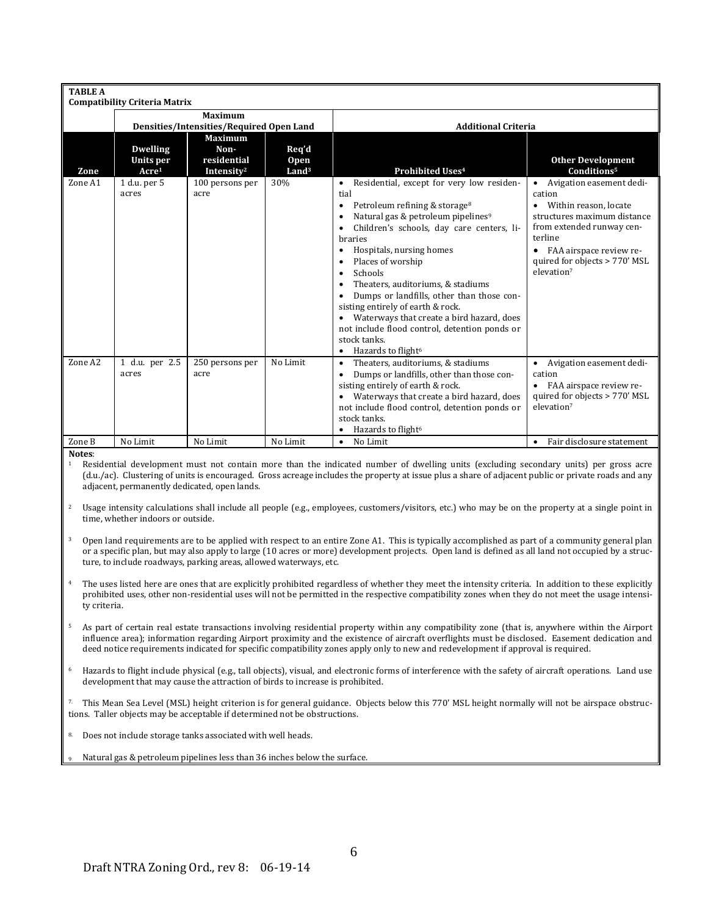| <b>TABLE A</b> |                                                   |                                                                 |                                           |                                                                                                                                                                                                                                                                                                                                                                                                                                                                                                                                                                                                   |                                                                                                                                                                                                                                                 |  |  |
|----------------|---------------------------------------------------|-----------------------------------------------------------------|-------------------------------------------|---------------------------------------------------------------------------------------------------------------------------------------------------------------------------------------------------------------------------------------------------------------------------------------------------------------------------------------------------------------------------------------------------------------------------------------------------------------------------------------------------------------------------------------------------------------------------------------------------|-------------------------------------------------------------------------------------------------------------------------------------------------------------------------------------------------------------------------------------------------|--|--|
|                | <b>Compatibility Criteria Matrix</b>              |                                                                 |                                           |                                                                                                                                                                                                                                                                                                                                                                                                                                                                                                                                                                                                   |                                                                                                                                                                                                                                                 |  |  |
|                |                                                   | <b>Maximum</b>                                                  |                                           |                                                                                                                                                                                                                                                                                                                                                                                                                                                                                                                                                                                                   |                                                                                                                                                                                                                                                 |  |  |
|                |                                                   | Densities/Intensities/Required Open Land                        |                                           | <b>Additional Criteria</b>                                                                                                                                                                                                                                                                                                                                                                                                                                                                                                                                                                        |                                                                                                                                                                                                                                                 |  |  |
| Zone           | <b>Dwelling</b><br>Units per<br>Acre <sup>1</sup> | <b>Maximum</b><br>Non-<br>residential<br>Intensity <sup>2</sup> | Req'd<br><b>Open</b><br>Land <sup>3</sup> | Prohibited Uses <sup>4</sup>                                                                                                                                                                                                                                                                                                                                                                                                                                                                                                                                                                      | <b>Other Development</b><br>Conditions <sup>5</sup>                                                                                                                                                                                             |  |  |
| Zone A1        | 1 d.u. per 5<br>acres                             | 100 persons per<br>acre                                         | 30%                                       | Residential, except for very low residen-<br>$\bullet$<br>tial<br>Petroleum refining & storage <sup>8</sup><br>٠<br>Natural gas & petroleum pipelines <sup>9</sup><br>٠<br>Children's schools, day care centers, li-<br>braries<br>Hospitals, nursing homes<br>٠<br>Places of worship<br>Schools<br>Theaters, auditoriums, & stadiums<br>$\bullet$<br>Dumps or landfills, other than those con-<br>sisting entirely of earth & rock.<br>Waterways that create a bird hazard, does<br>not include flood control, detention ponds or<br>stock tanks.<br>Hazards to flight <sup>6</sup><br>$\bullet$ | Avigation easement dedi-<br>$\bullet$<br>cation<br>Within reason, locate<br>٠<br>structures maximum distance<br>from extended runway cen-<br>terline<br>FAA airspace review re-<br>٠<br>quired for objects > 770' MSL<br>elevation <sup>7</sup> |  |  |
| Zone A2        | 1 d.u. per 2.5<br>acres                           | 250 persons per<br>acre                                         | No Limit                                  | Theaters, auditoriums, & stadiums<br>$\bullet$<br>Dumps or landfills, other than those con-<br>٠<br>sisting entirely of earth & rock.<br>Waterways that create a bird hazard, does<br>٠<br>not include flood control, detention ponds or<br>stock tanks.<br>Hazards to flight <sup>6</sup>                                                                                                                                                                                                                                                                                                        | Avigation easement dedi-<br>$\bullet$<br>cation<br>FAA airspace review re-<br>٠<br>quired for objects > 770' MSL<br>elevation <sup>7</sup>                                                                                                      |  |  |
| Zone B         | No Limit                                          | No Limit                                                        | No Limit                                  | No Limit<br>$\bullet$                                                                                                                                                                                                                                                                                                                                                                                                                                                                                                                                                                             | Fair disclosure statement<br>٠                                                                                                                                                                                                                  |  |  |

**Notes**: 

Residential development must not contain more than the indicated number of dwelling units (excluding secondary units) per gross acre (d.u./ac). Clustering of units is encouraged. Gross acreage includes the property at issue plus a share of adjacent public or private roads and any adjacent, permanently dedicated, open lands.

- <sup>2</sup> Usage intensity calculations shall include all people (e.g., employees, customers/visitors, etc.) who may be on the property at a single point in time, whether indoors or outside.
- <sup>3</sup> Open land requirements are to be applied with respect to an entire Zone A1. This is typically accomplished as part of a community general plan or a specific plan, but may also apply to large (10 acres or more) development projects. Open land is defined as all land not occupied by a structure, to include roadways, parking areas, allowed waterways, etc.
- The uses listed here are ones that are explicitly prohibited regardless of whether they meet the intensity criteria. In addition to these explicitly prohibited uses, other non-residential uses will not be permitted in the respective compatibility zones when they do not meet the usage intensity criteria.
- 5 As part of certain real estate transactions involving residential property within any compatibility zone (that is, anywhere within the Airport influence area); information regarding Airport proximity and the existence of aircraft overflights must be disclosed. Easement dedication and deed notice requirements indicated for specific compatibility zones apply only to new and redevelopment if approval is required.
- <sup>6</sup> Hazards to flight include physical (e.g., tall objects), visual, and electronic forms of interference with the safety of aircraft operations. Land use development that may cause the attraction of birds to increase is prohibited.

7. This Mean Sea Level (MSL) height criterion is for general guidance. Objects below this 770' MSL height normally will not be airspace obstructions. Taller objects may be acceptable if determined not be obstructions.

8. Does not include storage tanks associated with well heads.

Natural gas & petroleum pipelines less than 36 inches below the surface.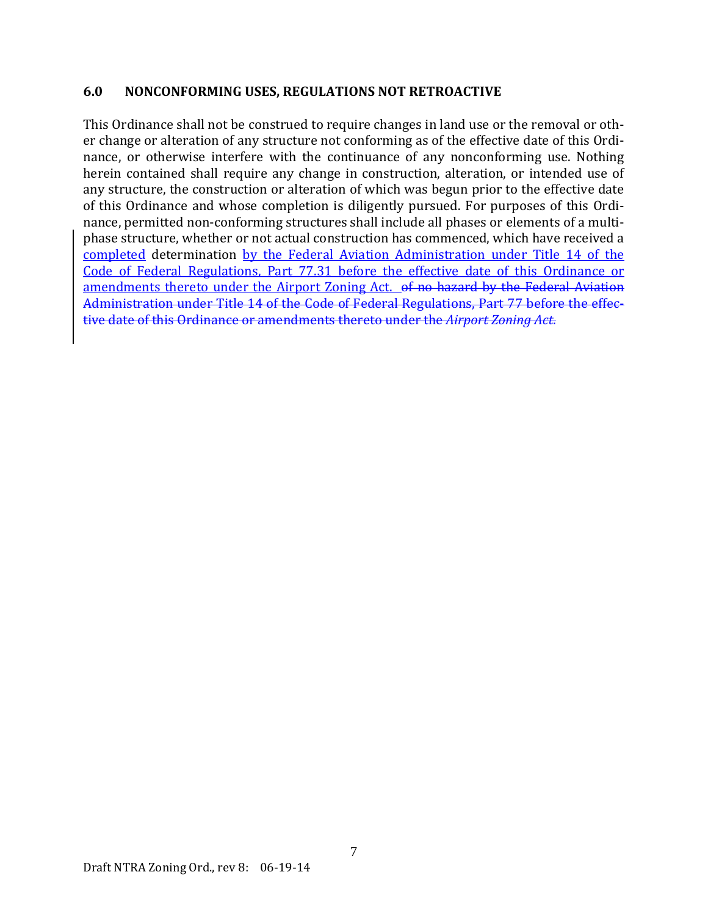#### **6.0 NONCONFORMING USES, REGULATIONS NOT RETROACTIVE**

This Ordinance shall not be construed to require changes in land use or the removal or other change or alteration of any structure not conforming as of the effective date of this Ordinance, or otherwise interfere with the continuance of any nonconforming use. Nothing herein contained shall require any change in construction, alteration, or intended use of any structure, the construction or alteration of which was begun prior to the effective date of this Ordinance and whose completion is diligently pursued. For purposes of this Ordinance, permitted non-conforming structures shall include all phases or elements of a multiphase structure, whether or not actual construction has commenced, which have received a completed determination by the Federal Aviation Administration under Title 14 of the Code of Federal Regulations, Part 77.31 before the effective date of this Ordinance or amendments thereto under the Airport Zoning Act.  $\theta$ f no hazard by the Federal Aviation Administration under Title 14 of the Code of Federal Regulations, Part 77 before the effective date of this Ordinance or amendments thereto under the *Airport Zoning Act*.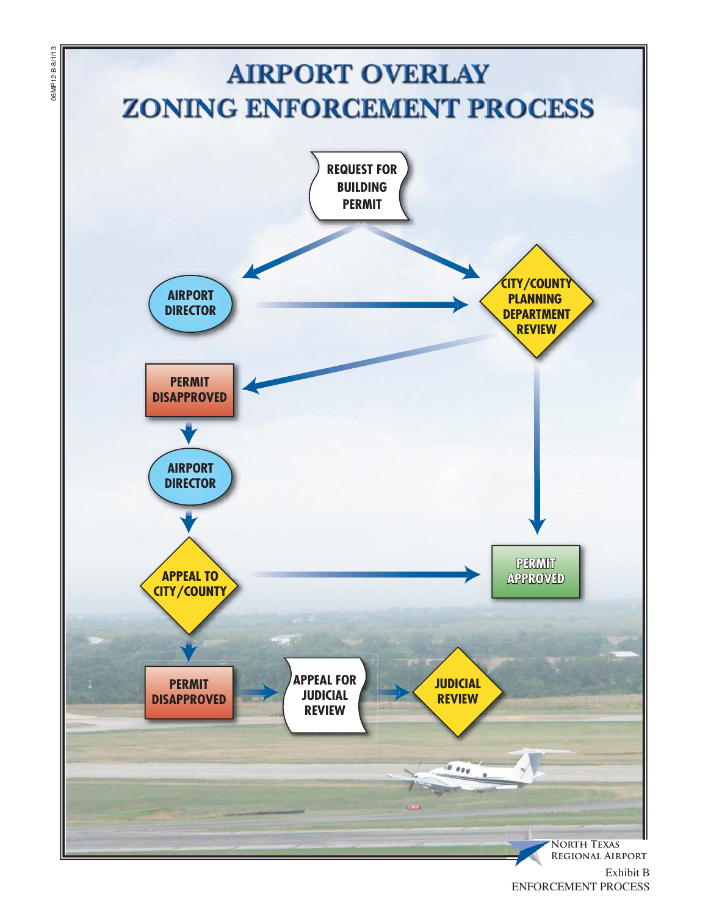

06MP12-B-8/1/13

06MP12-B-8/1/13

ENFORCEMENT PROCESS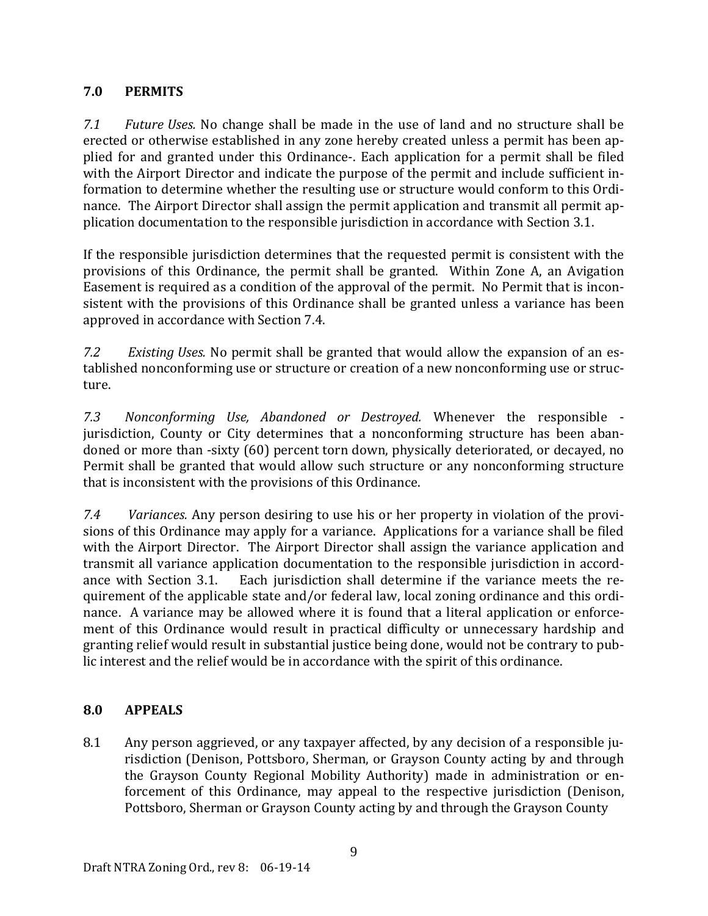## **7.0 PERMITS**

*7.1 Future Uses.* No change shall be made in the use of land and no structure shall be erected or otherwise established in any zone hereby created unless a permit has been applied for and granted under this Ordinance-. Each application for a permit shall be filed with the Airport Director and indicate the purpose of the permit and include sufficient information to determine whether the resulting use or structure would conform to this Ordinance. The Airport Director shall assign the permit application and transmit all permit application documentation to the responsible jurisdiction in accordance with Section 3.1.

If the responsible jurisdiction determines that the requested permit is consistent with the provisions of this Ordinance, the permit shall be granted. Within Zone A, an Avigation Easement is required as a condition of the approval of the permit. No Permit that is inconsistent with the provisions of this Ordinance shall be granted unless a variance has been approved in accordance with Section 7.4.

*7.2 Existing Uses.* No permit shall be granted that would allow the expansion of an established nonconforming use or structure or creation of a new nonconforming use or structure. 

*7.3 Nonconforming Use, Abandoned or Destroyed.* Whenever the responsible ‐ jurisdiction, County or City determines that a nonconforming structure has been abandoned or more than -sixty (60) percent torn down, physically deteriorated, or decayed, no Permit shall be granted that would allow such structure or any nonconforming structure that is inconsistent with the provisions of this Ordinance.

*7.4 Variances.* Any person desiring to use his or her property in violation of the provisions of this Ordinance may apply for a variance. Applications for a variance shall be filed with the Airport Director. The Airport Director shall assign the variance application and transmit all variance application documentation to the responsible jurisdiction in accordance with Section 3.1. Each jurisdiction shall determine if the variance meets the requirement of the applicable state and/or federal law, local zoning ordinance and this ordinance. A variance may be allowed where it is found that a literal application or enforcement of this Ordinance would result in practical difficulty or unnecessary hardship and granting relief would result in substantial justice being done, would not be contrary to public interest and the relief would be in accordance with the spirit of this ordinance.

## **8.0 APPEALS**

8.1 Any person aggrieved, or any taxpayer affected, by any decision of a responsible jurisdiction (Denison, Pottsboro, Sherman, or Grayson County acting by and through the Grayson County Regional Mobility Authority) made in administration or enforcement of this Ordinance, may appeal to the respective jurisdiction (Denison, Pottsboro, Sherman or Grayson County acting by and through the Grayson County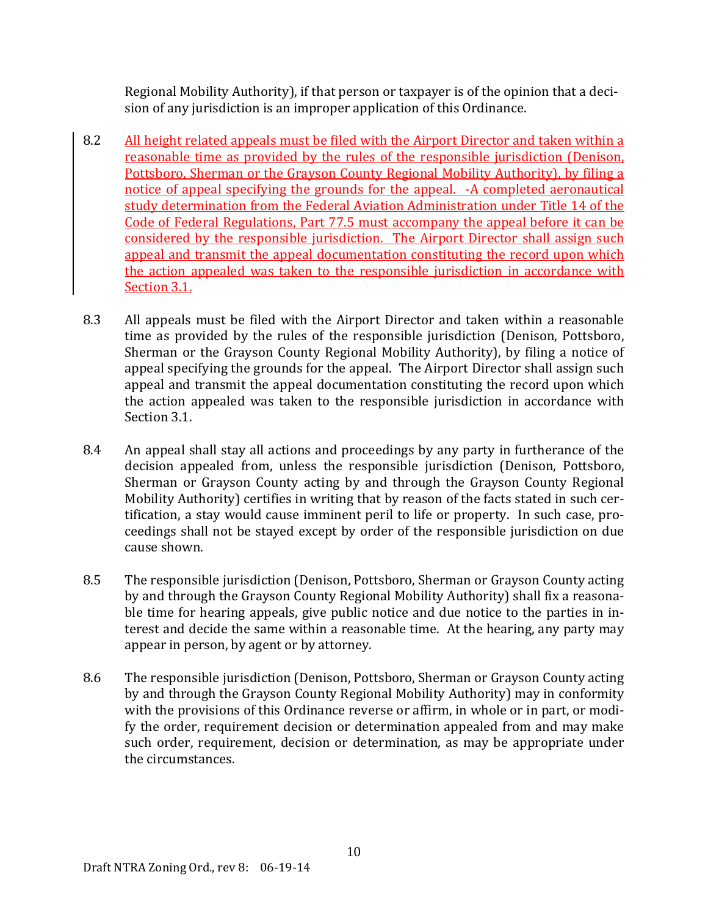Regional Mobility Authority), if that person or taxpayer is of the opinion that a decision of any jurisdiction is an improper application of this Ordinance.

- 8.2 All height related appeals must be filed with the Airport Director and taken within a reasonable time as provided by the rules of the responsible jurisdiction (Denison, Pottsboro, Sherman or the Grayson County Regional Mobility Authority), by filing a notice of appeal specifying the grounds for the appeal. -A completed aeronautical study determination from the Federal Aviation Administration under Title 14 of the Code of Federal Regulations, Part 77.5 must accompany the appeal before it can be considered by the responsible jurisdiction. The Airport Director shall assign such appeal and transmit the appeal documentation constituting the record upon which the action appealed was taken to the responsible jurisdiction in accordance with Section 3.1.
- 8.3 All appeals must be filed with the Airport Director and taken within a reasonable time as provided by the rules of the responsible jurisdiction (Denison, Pottsboro, Sherman or the Grayson County Regional Mobility Authority), by filing a notice of appeal specifying the grounds for the appeal. The Airport Director shall assign such appeal and transmit the appeal documentation constituting the record upon which the action appealed was taken to the responsible jurisdiction in accordance with Section 3.1.
- 8.4 An appeal shall stay all actions and proceedings by any party in furtherance of the decision appealed from, unless the responsible jurisdiction (Denison, Pottsboro, Sherman or Grayson County acting by and through the Grayson County Regional Mobility Authority) certifies in writing that by reason of the facts stated in such certification, a stay would cause imminent peril to life or property. In such case, proceedings shall not be stayed except by order of the responsible jurisdiction on due cause shown.
- 8.5 The responsible jurisdiction (Denison, Pottsboro, Sherman or Grayson County acting by and through the Grayson County Regional Mobility Authority) shall fix a reasonable time for hearing appeals, give public notice and due notice to the parties in interest and decide the same within a reasonable time. At the hearing, any party may appear in person, by agent or by attorney.
- 8.6 The responsible jurisdiction (Denison, Pottsboro, Sherman or Grayson County acting by and through the Grayson County Regional Mobility Authority) may in conformity with the provisions of this Ordinance reverse or affirm, in whole or in part, or modify the order, requirement decision or determination appealed from and may make such order, requirement, decision or determination, as may be appropriate under the circumstances.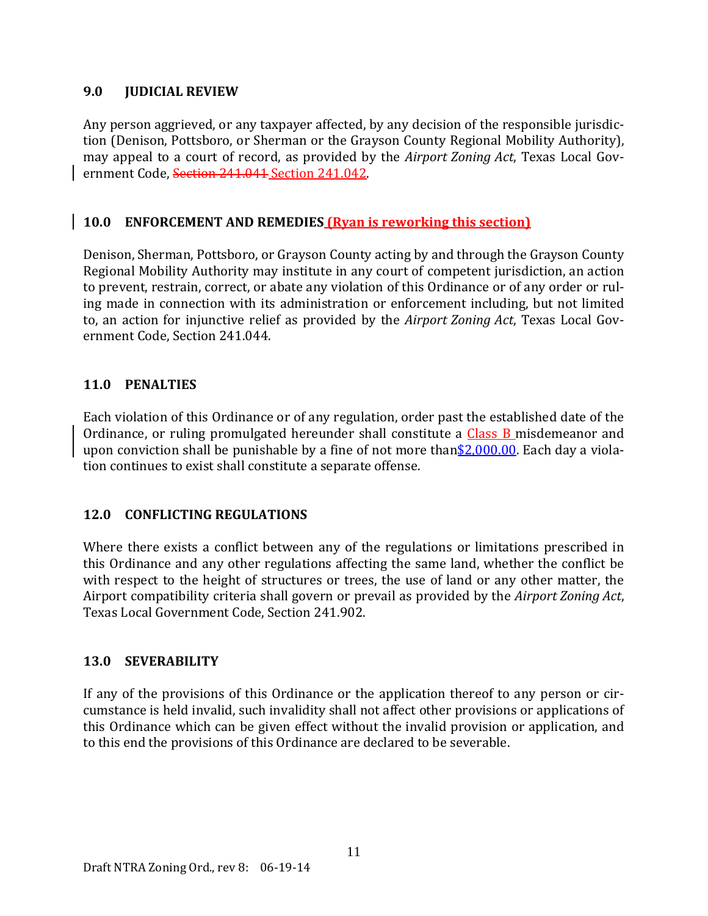## **9.0 JUDICIAL REVIEW**

Any person aggrieved, or any taxpayer affected, by any decision of the responsible jurisdiction (Denison, Pottsboro, or Sherman or the Grayson County Regional Mobility Authority), may appeal to a court of record, as provided by the *Airport Zoning Act*, Texas Local Government Code, Section 241.041 Section 241.042.

## **10.0 ENFORCEMENT AND REMEDIES (Ryan is reworking this section)**

Denison, Sherman, Pottsboro, or Grayson County acting by and through the Grayson County Regional Mobility Authority may institute in any court of competent jurisdiction, an action to prevent, restrain, correct, or abate any violation of this Ordinance or of any order or ruling made in connection with its administration or enforcement including, but not limited to, an action for injunctive relief as provided by the *Airport Zoning Act*, Texas Local Government Code, Section 241.044.

## **11.0 PENALTIES**

Each violation of this Ordinance or of any regulation, order past the established date of the Ordinance, or ruling promulgated hereunder shall constitute a Class B misdemeanor and upon conviction shall be punishable by a fine of not more than  $2,000.00$ . Each day a violation continues to exist shall constitute a separate offense.

## **12.0 CONFLICTING REGULATIONS**

Where there exists a conflict between any of the regulations or limitations prescribed in this Ordinance and any other regulations affecting the same land, whether the conflict be with respect to the height of structures or trees, the use of land or any other matter, the Airport compatibility criteria shall govern or prevail as provided by the *Airport Zoning Act*, Texas Local Government Code, Section 241.902.

## **13.0 SEVERABILITY**

If any of the provisions of this Ordinance or the application thereof to any person or circumstance is held invalid, such invalidity shall not affect other provisions or applications of this Ordinance which can be given effect without the invalid provision or application, and to this end the provisions of this Ordinance are declared to be severable.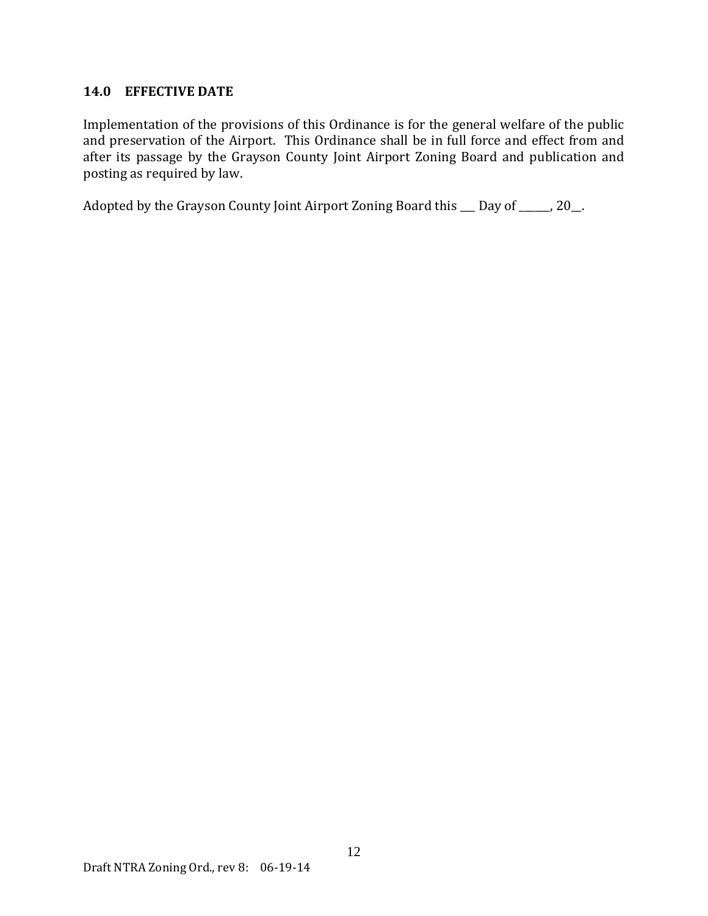## **14.0 EFFECTIVE DATE**

Implementation of the provisions of this Ordinance is for the general welfare of the public and preservation of the Airport. This Ordinance shall be in full force and effect from and after its passage by the Grayson County Joint Airport Zoning Board and publication and posting as required by law.

Adopted by the Grayson County Joint Airport Zoning Board this  $\_\_$  Day of  $\_\_$ , 20 $\_\_$ .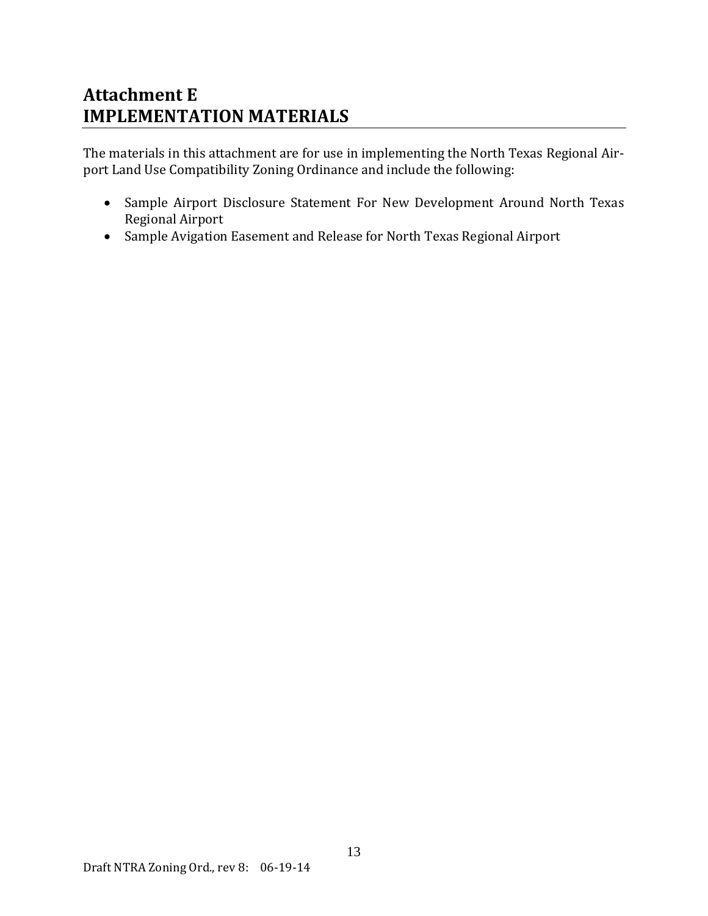## **Attachment E IMPLEMENTATION MATERIALS**

The materials in this attachment are for use in implementing the North Texas Regional Airport Land Use Compatibility Zoning Ordinance and include the following:

- Sample Airport Disclosure Statement For New Development Around North Texas Regional Airport
- Sample Avigation Easement and Release for North Texas Regional Airport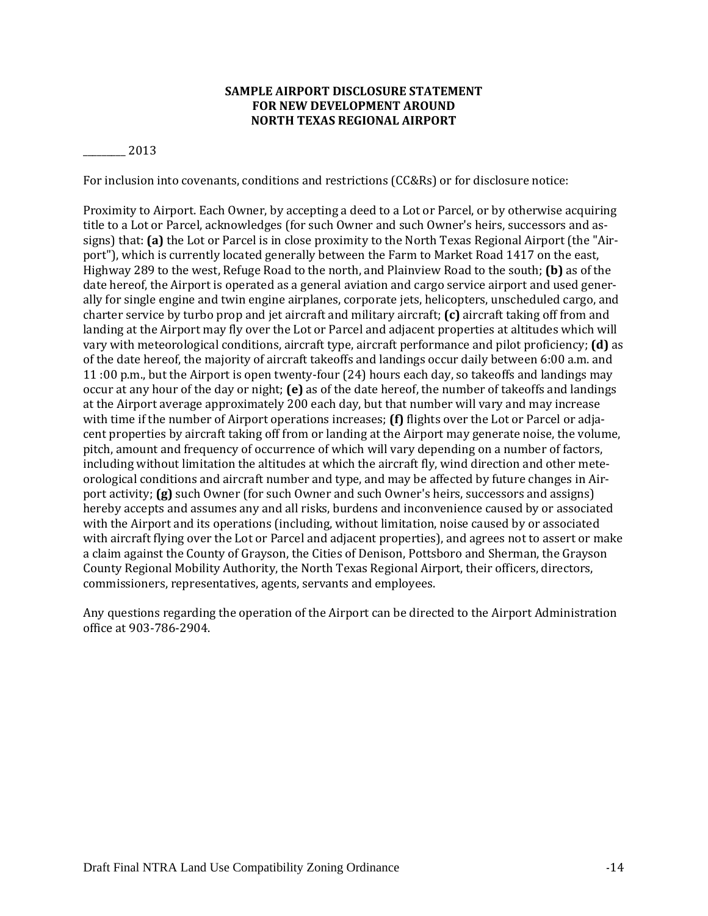#### **SAMPLE AIRPORT DISCLOSURE STATEMENT FOR NEW DEVELOPMENT AROUND NORTH TEXAS REGIONAL AIRPORT**

\_\_\_\_\_\_\_\_\_ 2013 

For inclusion into covenants, conditions and restrictions (CC&Rs) or for disclosure notice:

Proximity to Airport. Each Owner, by accepting a deed to a Lot or Parcel, or by otherwise acquiring title to a Lot or Parcel, acknowledges (for such Owner and such Owner's heirs, successors and assigns) that: (a) the Lot or Parcel is in close proximity to the North Texas Regional Airport (the "Airport"), which is currently located generally between the Farm to Market Road 1417 on the east, Highway 289 to the west, Refuge Road to the north, and Plainview Road to the south; **(b)** as of the date hereof, the Airport is operated as a general aviation and cargo service airport and used generally for single engine and twin engine airplanes, corporate jets, helicopters, unscheduled cargo, and charter service by turbo prop and jet aircraft and military aircraft; **(c)** aircraft taking off from and landing at the Airport may fly over the Lot or Parcel and adjacent properties at altitudes which will vary with meteorological conditions, aircraft type, aircraft performance and pilot proficiency; **(d)** as of the date hereof, the majority of aircraft takeoffs and landings occur daily between 6:00 a.m. and 11:00 p.m., but the Airport is open twenty-four  $(24)$  hours each day, so takeoffs and landings may occur at any hour of the day or night; **(e)** as of the date hereof, the number of takeoffs and landings at the Airport average approximately 200 each day, but that number will vary and may increase with time if the number of Airport operations increases; (f) flights over the Lot or Parcel or adjacent properties by aircraft taking off from or landing at the Airport may generate noise, the volume, pitch, amount and frequency of occurrence of which will vary depending on a number of factors, including without limitation the altitudes at which the aircraft fly, wind direction and other meteorological conditions and aircraft number and type, and may be affected by future changes in Airport activity; **(g)** such Owner (for such Owner and such Owner's heirs, successors and assigns) hereby accepts and assumes any and all risks, burdens and inconvenience caused by or associated with the Airport and its operations (including, without limitation, noise caused by or associated with aircraft flying over the Lot or Parcel and adjacent properties), and agrees not to assert or make a claim against the County of Grayson, the Cities of Denison, Pottsboro and Sherman, the Grayson County Regional Mobility Authority, the North Texas Regional Airport, their officers, directors, commissioners, representatives, agents, servants and employees.

Any questions regarding the operation of the Airport can be directed to the Airport Administration office at 903‐786‐2904.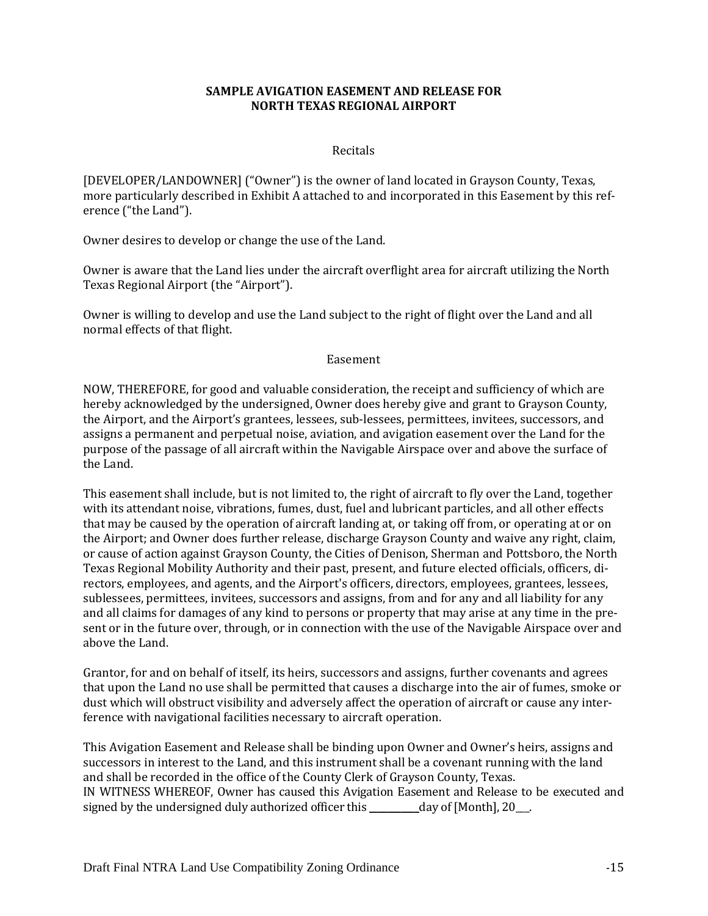#### **SAMPLE AVIGATION EASEMENT AND RELEASE FOR NORTH TEXAS REGIONAL AIRPORT**

#### Recitals

[DEVELOPER/LANDOWNER] ("Owner") is the owner of land located in Grayson County, Texas, more particularly described in Exhibit A attached to and incorporated in this Easement by this reference ("the Land").

Owner desires to develop or change the use of the Land.

Owner is aware that the Land lies under the aircraft overflight area for aircraft utilizing the North Texas Regional Airport (the "Airport").

Owner is willing to develop and use the Land subject to the right of flight over the Land and all normal effects of that flight.

#### Easement

NOW, THEREFORE, for good and valuable consideration, the receipt and sufficiency of which are hereby acknowledged by the undersigned, Owner does hereby give and grant to Grayson County, the Airport, and the Airport's grantees, lessees, sub-lessees, permittees, invitees, successors, and assigns a permanent and perpetual noise, aviation, and avigation easement over the Land for the purpose of the passage of all aircraft within the Navigable Airspace over and above the surface of the Land.

This easement shall include, but is not limited to, the right of aircraft to fly over the Land, together with its attendant noise, vibrations, fumes, dust, fuel and lubricant particles, and all other effects that may be caused by the operation of aircraft landing at, or taking off from, or operating at or on the Airport; and Owner does further release, discharge Grayson County and waive any right, claim, or cause of action against Grayson County, the Cities of Denison, Sherman and Pottsboro, the North Texas Regional Mobility Authority and their past, present, and future elected officials, officers, directors, employees, and agents, and the Airport's officers, directors, employees, grantees, lessees, sublessees, permittees, invitees, successors and assigns, from and for any and all liability for any and all claims for damages of any kind to persons or property that may arise at any time in the present or in the future over, through, or in connection with the use of the Navigable Airspace over and above the Land.

Grantor, for and on behalf of itself, its heirs, successors and assigns, further covenants and agrees that upon the Land no use shall be permitted that causes a discharge into the air of fumes, smoke or dust which will obstruct visibility and adversely affect the operation of aircraft or cause any interference with navigational facilities necessary to aircraft operation.

This Avigation Easement and Release shall be binding upon Owner and Owner's heirs, assigns and successors in interest to the Land, and this instrument shall be a covenant running with the land and shall be recorded in the office of the County Clerk of Grayson County, Texas. IN WITNESS WHEREOF, Owner has caused this Avigation Easement and Release to be executed and signed by the undersigned duly authorized officer this  $\_\_\_\_\_day$  of [Month], 20 $\_\_\_\_\_\_\_\_$ .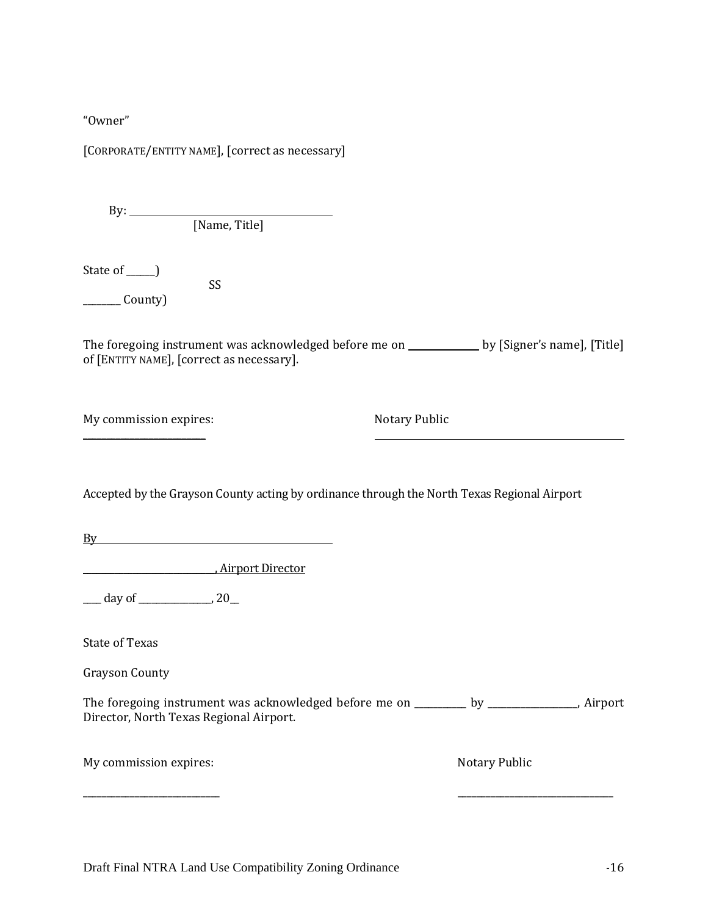"Owner" 

[CORPORATE/ENTITY NAME], [correct as necessary]

| By: |               |  |
|-----|---------------|--|
|     | [Name, Title] |  |

State of  $\rule{1em}{0.15mm}$ 

 SS  $\frac{\ }{\ }$  County)

The foregoing instrument was acknowledged before me on \_\_\_\_\_\_\_\_\_\_\_ by [Signer's name], [Title] of [ENTITY NAME], [correct as necessary].

\_\_\_\_\_\_\_\_\_\_\_\_\_\_\_\_\_\_\_\_\_\_\_\_\_\_ 

My commission expires: **My commission** expires: **Notary** Public

Accepted by the Grayson County acting by ordinance through the North Texas Regional Airport

By **Example 20** Section 20 Section 20 Section 20 Section 20 Section 20 Section 20 Section 20 Section 20 Section 20 Section 20 Section 20 Section 20 Section 20 Section 20 Section 20 Section 20 Section 20 Section 20 Section

\_\_\_\_\_\_\_\_\_\_\_\_\_\_\_\_\_\_\_\_\_\_\_\_\_\_\_\_\_, Airport Director 

 $\frac{\text{day of}}{\text{day of}}$  20

State of Texas

Grayson County 

The foregoing instrument was acknowledged before me on \_\_\_\_\_\_\_\_\_ by \_\_\_\_\_\_\_\_\_\_\_\_\_, Airport Director, North Texas Regional Airport.

\_\_\_\_\_\_\_\_\_\_\_\_\_\_\_\_\_\_\_\_\_\_\_\_\_\_\_\_\_ \_\_\_\_\_\_\_\_\_\_\_\_\_\_\_\_\_\_\_\_\_\_\_\_\_\_\_\_\_\_\_\_\_ 

| My commission expires: |  |
|------------------------|--|
|------------------------|--|

Notary Public